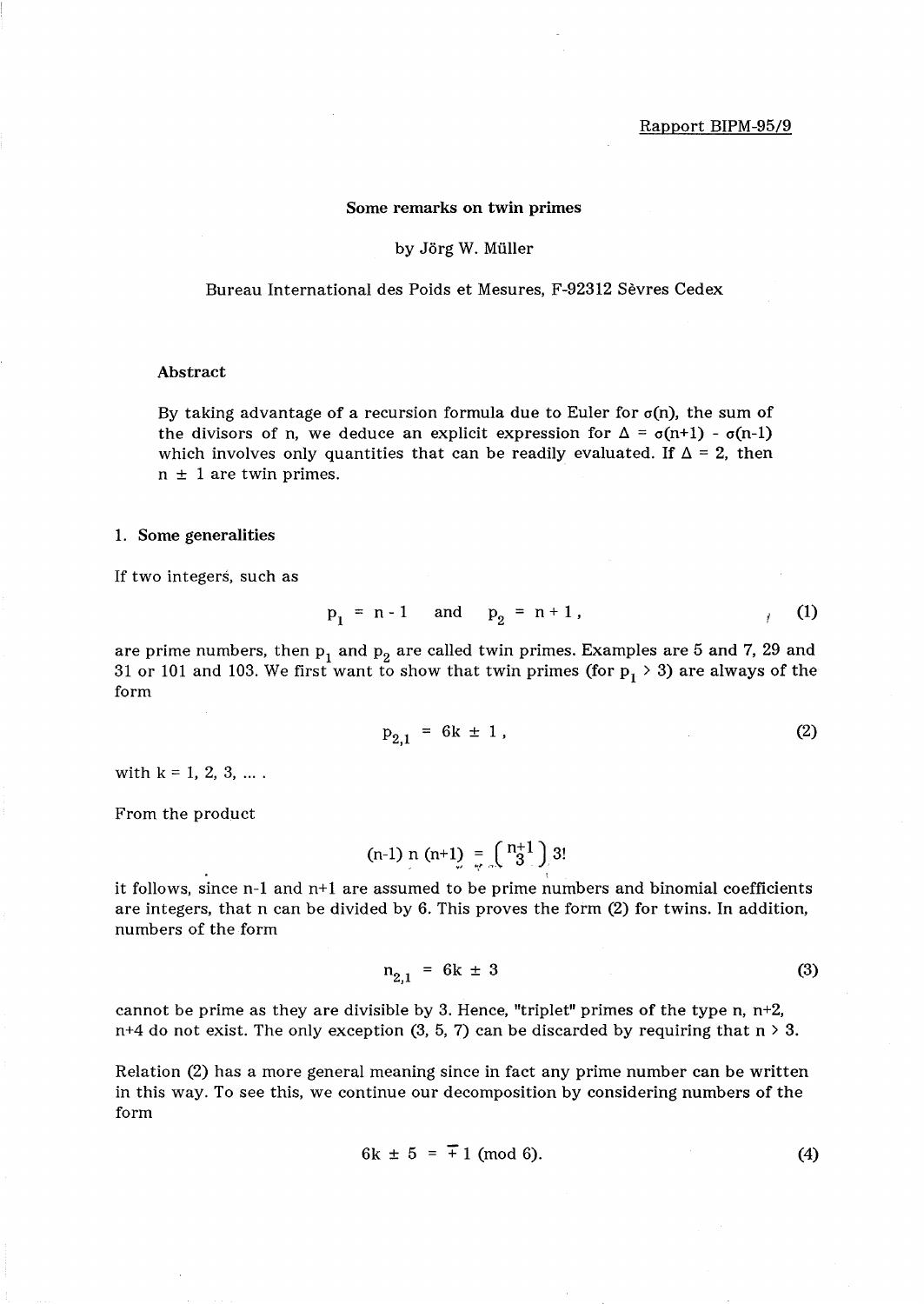### Some remarks on twin primes

#### by Jörg W. Müller

Bureau International des Poids et Mesures, F-92312 Sevres Cedex

### Abstract

By taking advantage of a recursion formula due to Euler for  $\sigma(n)$ , the sum of the divisors of n, we deduce an explicit expression for  $\Delta = \sigma(n+1) - \sigma(n-1)$ which involves only quantities that can be readily evaluated. If  $\Delta = 2$ , then  $n \pm 1$  are twin primes.

### 1. Some generalities

If two integers, such as

$$
p_1 = n-1
$$
 and  $p_2 = n+1$ , (1)

are prime numbers, then  $p_1$  and  $p_2$  are called twin primes. Examples are 5 and 7, 29 and 31 or 101 and 103. We first want to show that twin primes (for  $p_1 > 3$ ) are always of the form

$$
p_{2,1} = 6k \pm 1, \tag{2}
$$

with  $k = 1, 2, 3, ...$ .

From the product

(n-1) n (n+1) =  $\binom{n+1}{r}$  3!

it follows, since n-1 and n+1 are assumed to be prime numbers and binomial coefficients are integers, that n can be divided by 6. This proves the form (2) for twins. In addition, numbers of the form

$$
n_{2,1} = 6k \pm 3 \tag{3}
$$

cannot be prime as they are divisible by 3. Hence, "triplet" primes of the type n,  $n+2$ , n+4 do not exist. The only exception (3, 5, 7) can be discarded by requiring that  $n > 3$ .

Relation (2) has a more general meaning since in fact any prime number can be written in this way. To see this, we continue our decomposition by considering numbers of the form

$$
6k \pm 5 = \pm 1 \pmod{6}.
$$
 (4)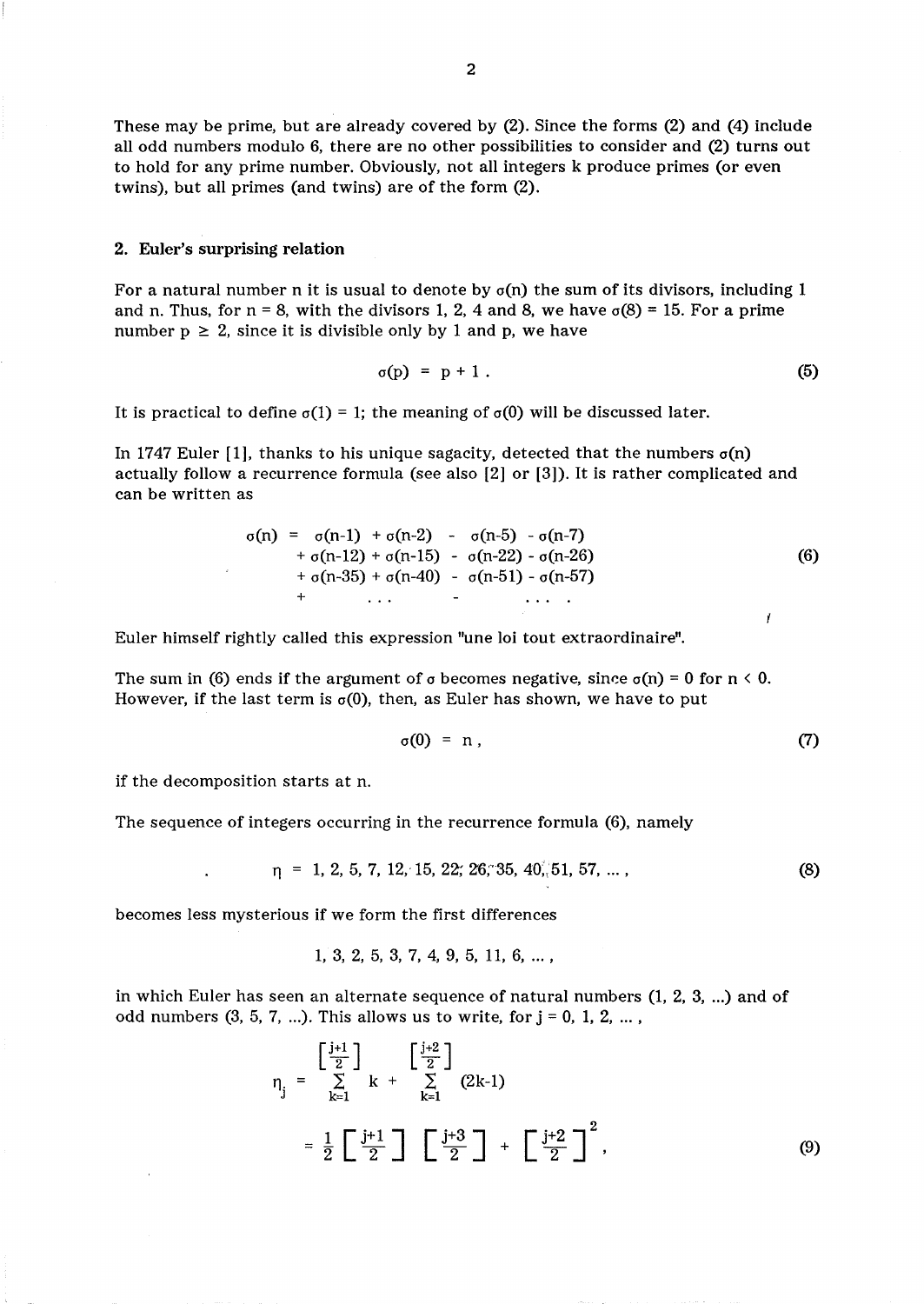These may be prime, but are already covered by (2). Since the forms (2) and (4) include all odd numbers modulo 6, there are no other possibilities to consider and (2) turns out to hold for any prime number. Obviously, not all integers k produce primes (or even twins), but all primes (and twins) are of the form (2).

## 2. Euler's surprising relation

For a natural number n it is usual to denote by  $\sigma(n)$  the sum of its divisors, including 1 and n. Thus, for  $n = 8$ , with the divisors 1, 2, 4 and 8, we have  $\sigma(8) = 15$ . For a prime number  $p \geq 2$ , since it is divisible only by 1 and p, we have

$$
\sigma(p) = p + 1. \tag{5}
$$

It is practical to define  $\sigma(1) = 1$ ; the meaning of  $\sigma(0)$  will be discussed later.

In 1747 Euler [1], thanks to his unique sagacity, detected that the numbers  $\sigma(n)$ actually follow a recurrence formula (see also [2] or [3]). It is rather complicated and can be written as

$$
\sigma(n) = \sigma(n-1) + \sigma(n-2) - \sigma(n-5) - \sigma(n-7) \n+ \sigma(n-12) + \sigma(n-15) - \sigma(n-22) - \sigma(n-26) \n+ \sigma(n-35) + \sigma(n-40) - \sigma(n-51) - \sigma(n-57) \n+ \cdots
$$
\n(6)

Euler himself rightly called this expression "une loi tout extraordinaire".

The sum in (6) ends if the argument of  $\sigma$  becomes negative, since  $\sigma(n) = 0$  for  $n \le 0$ . However, if the last term is  $\sigma(0)$ , then, as Euler has shown, we have to put

$$
\sigma(0) = n , \qquad (7)
$$

if the decomposition starts at n.

The sequence of integers occurring in the recurrence formula (6), namely

$$
\eta = 1, 2, 5, 7, 12, 15, 22, 26, 35, 40, 51, 57, \dots,
$$
\n(8)

becomes less mysterious if we form the first differences

$$
1, 3, 2, 5, 3, 7, 4, 9, 5, 11, 6, \ldots,
$$

in which Euler has seen an alternate sequence of natural numbers  $(1, 2, 3, ...)$  and of odd numbers  $(3, 5, 7, ...)$ . This allows us to write, for  $j = 0, 1, 2, ...$ ,

$$
\eta_{j} = \begin{bmatrix} \frac{j+1}{2} \\ \sum_{k=1}^{j+1} k + \sum_{k=1}^{j+2} (2k-1) \end{bmatrix}
$$
  
=  $\frac{1}{2} \begin{bmatrix} \frac{j+1}{2} \end{bmatrix} \begin{bmatrix} \frac{j+3}{2} \end{bmatrix} + \begin{bmatrix} \frac{j+2}{2} \end{bmatrix}^{2}$ , (9)

 $\mathbf{I}$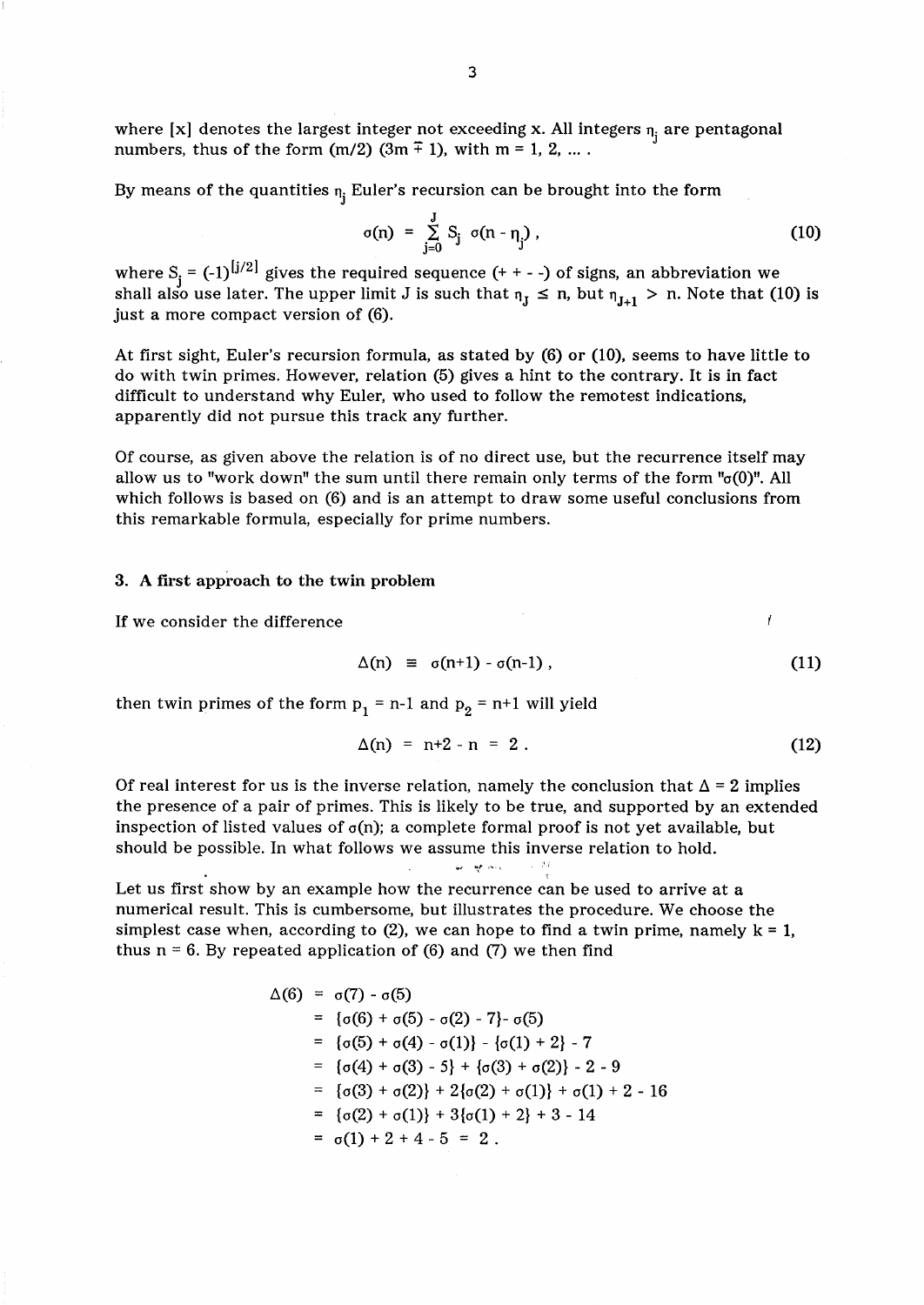where [x] denotes the largest integer not exceeding x. All integers  $n_i$  are pentagonal numbers, thus of the form (m/2) (3m  $\overline{+}$  1), with m = 1, 2, ... .

By means of the quantities  $n_j$  Euler's recursion can be brought into the form

$$
\sigma(n) = \sum_{j=0}^{J} S_j \sigma(n - n_j) \tag{10}
$$

where S<sub>i</sub> =  $(-1)^{|j/2|}$  gives the required sequence (+ + - -) of signs, an abbreviation we shall also use later. The upper limit J is such that  $n_J \le n$ , but  $n_{J+1} > n$ . Note that (10) is just a more compact version of (6).

At first sight, Euler's recursion formula, as stated by (6) or (10), seems to have little to do with twin primes. However, relation (5) gives a hint to the contrary. It is in fact difficult to understand why Euler, who used to follow the remotest indications, apparently did not pursue this track any further.

Of course, as given above the relation is of no direct use, but the recurrence itself may allow us to "work down" the sum until there remain only terms of the form " $\sigma(0)$ ". All which follows is based on (6) and is an attempt to draw some useful conclusions from this remarkable formula, especially for prime numbers.

## 3. A first approach to the twin problem

If we consider the difference

$$
\Delta(n) \equiv \sigma(n+1) - \sigma(n-1) \tag{11}
$$

then twin primes of the form  $p_1 = n-1$  and  $p_2 = n+1$  will yield

$$
\Delta(n) = n+2 - n = 2.
$$
 (12)

Of real interest for us is the inverse relation, namely the conclusion that  $\Delta = 2$  implies the presence of a pair of primes. This is likely to be true, and supported by an extended inspection of listed values of  $\sigma(n)$ ; a complete formal proof is not yet available, but should be possible. In what follows we assume this inverse relation to hold.

 $\omega=\eta\sigma/\sigma\phi$  .

Let us first show by an example how the recurrence can be used to arrive at a numerical result. This is cumbersome, but illustrates the procedure. We choose the simplest case when, according to (2), we can hope to find a twin prime, namely  $k = 1$ , thus  $n = 6$ . By repeated application of (6) and (7) we then find

$$
\Delta(6) = \sigma(7) - \sigma(5)
$$
  
\n
$$
= \{\sigma(6) + \sigma(5) - \sigma(2) - 7\} - \sigma(5)
$$
  
\n
$$
= \{\sigma(5) + \sigma(4) - \sigma(1)\} - \{\sigma(1) + 2\} - 7
$$
  
\n
$$
= \{\sigma(4) + \sigma(3) - 5\} + \{\sigma(3) + \sigma(2)\} - 2 - 9
$$
  
\n
$$
= \{\sigma(3) + \sigma(2)\} + 2\{\sigma(2) + \sigma(1)\} + \sigma(1) + 2 - 16
$$
  
\n
$$
= \{\sigma(2) + \sigma(1)\} + 3\{\sigma(1) + 2\} + 3 - 14
$$
  
\n
$$
= \sigma(1) + 2 + 4 - 5 = 2.
$$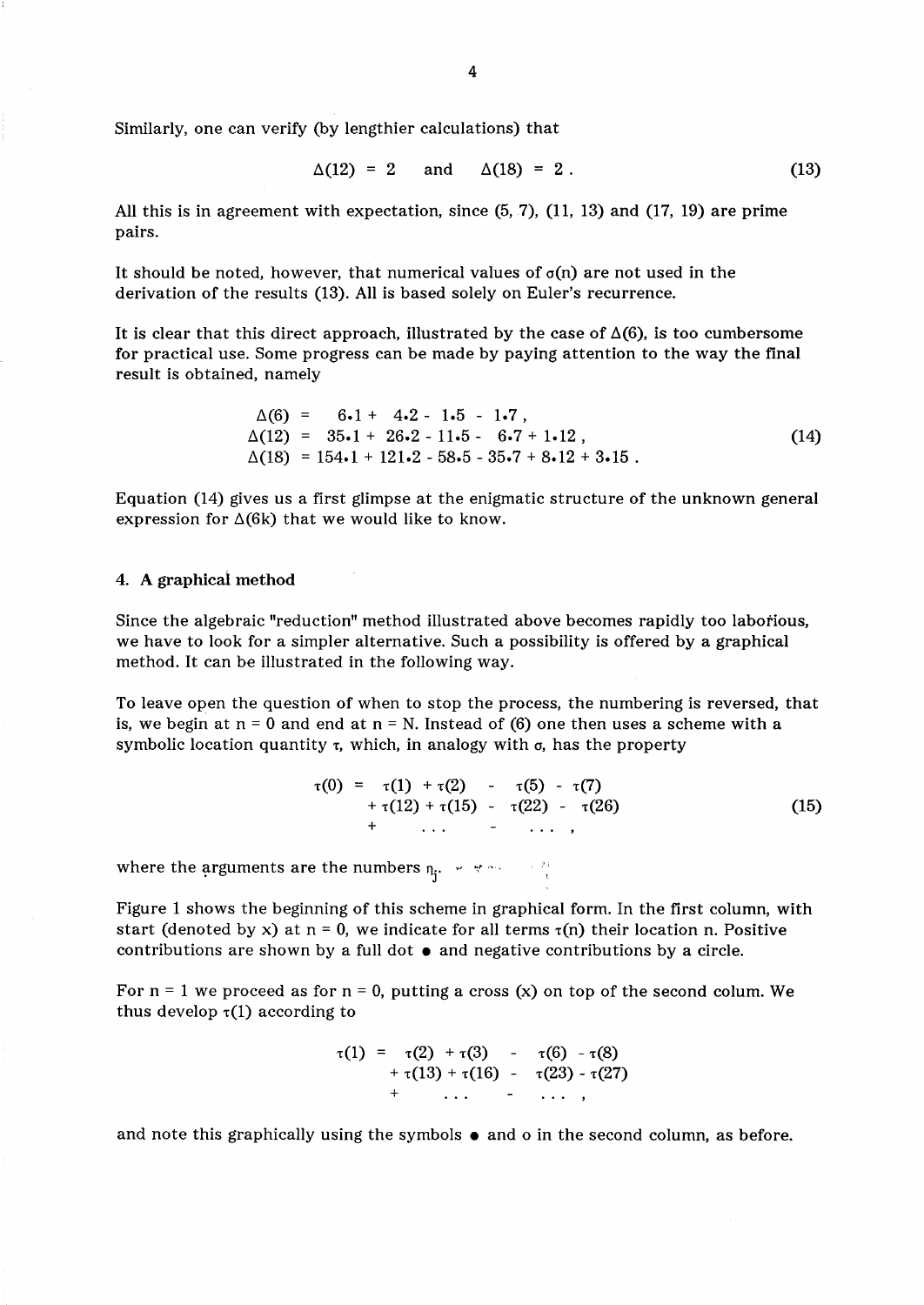Similarly, one can verify (by lengthier calculations) that

$$
\Delta(12) = 2
$$
 and  $\Delta(18) = 2$ . (13)

All this is in agreement with expectation, since (5, 7), (11, 13) and (17, 19) are prime pairs.

It should be noted, however, that numerical values of  $\sigma(n)$  are not used in the derivation of the results (13). All is based solely on Euler's recurrence.

It is clear that this direct approach, illustrated by the case of  $\Delta(6)$ , is too cumbersome for practical use. Some progress can be made by paying attention to the way the final result is obtained, namely

$$
\Delta(6) = 6.1 + 4.2 - 1.5 - 1.7,\n\Delta(12) = 35.1 + 26.2 - 11.5 - 6.7 + 1.12,\n\Delta(18) = 154.1 + 121.2 - 58.5 - 35.7 + 8.12 + 3.15.
$$
\n(14)

Equation (14) gives us a first glimpse at the enigmatic structure of the unknown general expression for  $\Delta(6k)$  that we would like to know.

## 4. A graphical method

Since the algebraic "reduction" method illustrated above becomes rapidly too labotious, we have to look for a simpler alternative. Such a possibility is offered by a graphical method. It can be illustrated in the following way.

To leave open the question of when to stop the process, the numbering is reversed, that is, we begin at  $n = 0$  and end at  $n = N$ . Instead of (6) one then uses a scheme with a symbolic location quantity  $\tau$ , which, in analogy with  $\sigma$ , has the property

$$
\tau(0) = \tau(1) + \tau(2) - \tau(5) - \tau(7) \n+ \tau(12) + \tau(15) - \tau(22) - \tau(26) \n+ \cdots \cdots \cdots \qquad (15)
$$

where the arguments are the numbers  $\eta_j$ .  $\forall$   $\forall$   $\land$   $\forall$   $\forall$ 

Figure 1 shows the beginning of this scheme in graphical form. In the first column, with start (denoted by x) at  $n = 0$ , we indicate for all terms  $\tau(n)$  their location n. Positive contributions are shown by a full dot  $\bullet$  and negative contributions by a circle.

For  $n = 1$  we proceed as for  $n = 0$ , putting a cross (x) on top of the second colum. We thus develop  $\tau(1)$  according to

$$
\tau(1) = \tau(2) + \tau(3) - \tau(6) - \tau(8) \n+ \tau(13) + \tau(16) - \tau(23) - \tau(27) \n+ \cdots \cdots \cdots
$$

and note this graphically using the symbols  $\bullet$  and  $o$  in the second column, as before.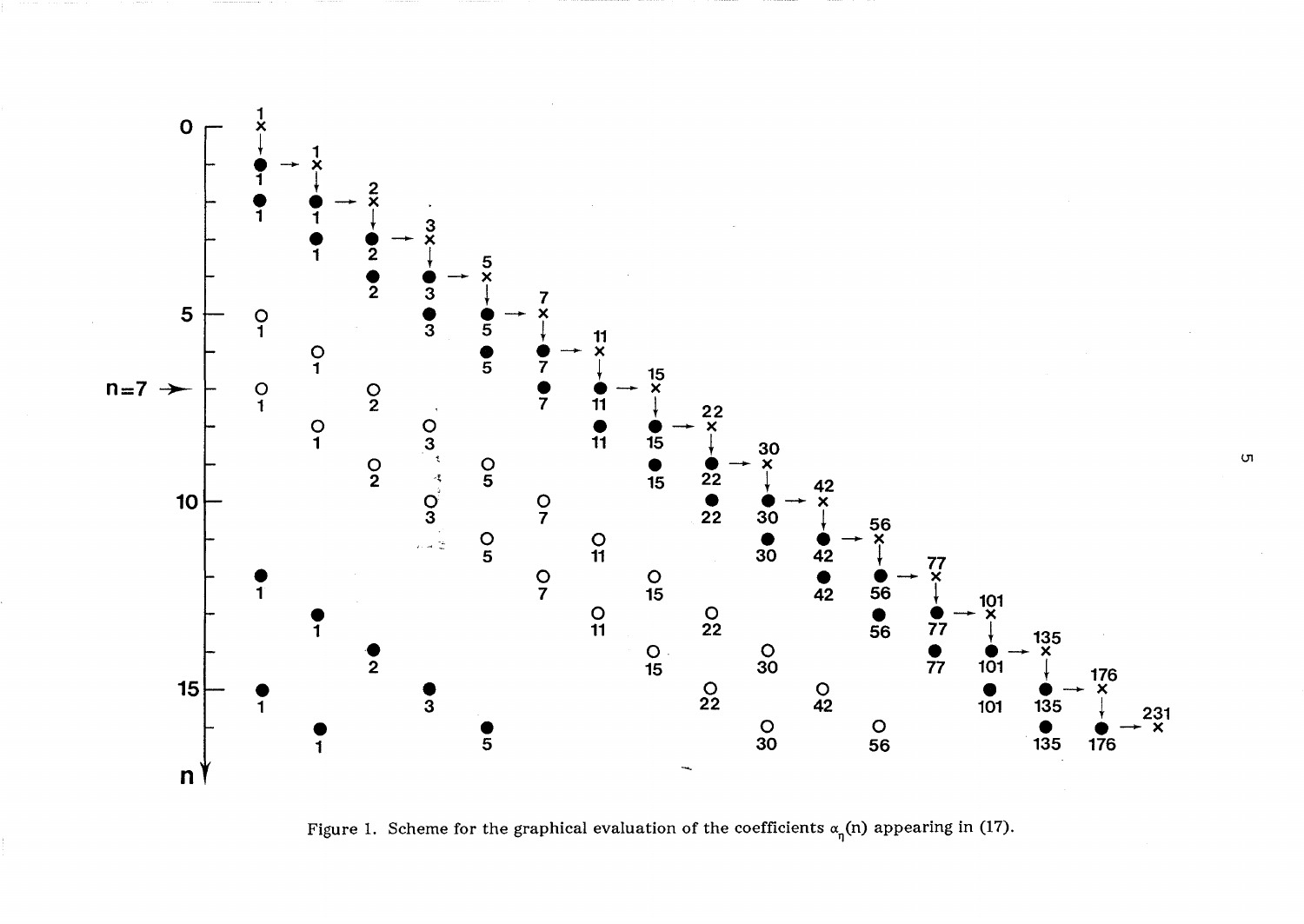

Figure 1. Scheme for the graphical evaluation of the coefficients  $\alpha_{\eta}$ (n) appearing in (17).

Ul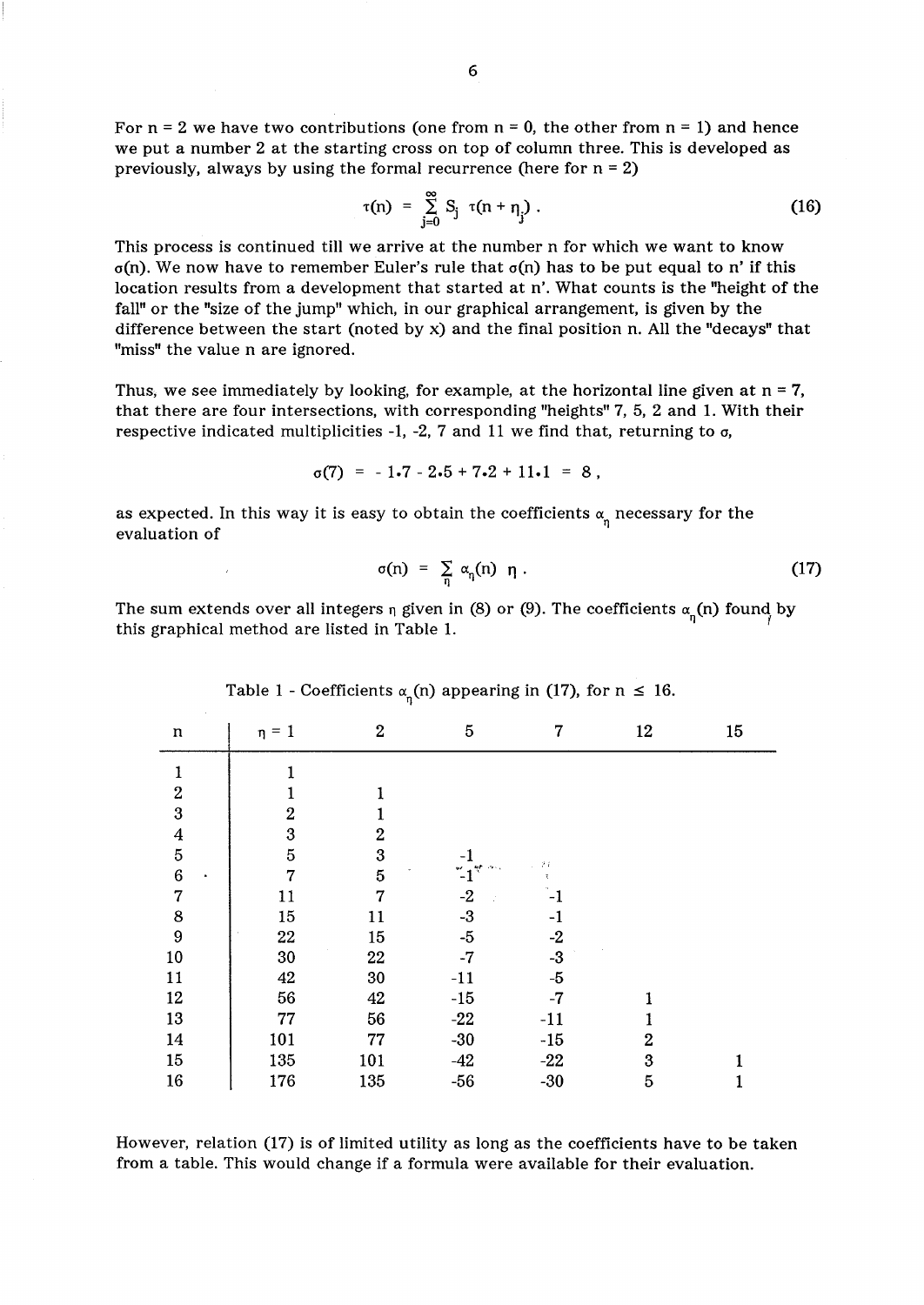$$
\tau(n) = \sum_{j=0}^{\infty} S_j \ \tau(n + \eta_j) \ . \tag{16}
$$

This process is continued till we arrive at the number n for which we want to know  $\sigma(n)$ . We now have to remember Euler's rule that  $\sigma(n)$  has to be put equal to n' if this location results from a development that started at n'. What counts is the "height of the fall" or the "size of the jump" which, in our graphical arrangement, is given by the difference between the start (noted by  $x$ ) and the final position n. All the "decays" that "miss" the value n are ignored.

Thus, we see immediately by looking, for example, at the horizontal line given at  $n = 7$ , that there are four intersections, with corresponding "heights" 7, 5, 2 and 1. With their respective indicated multiplicities -1, -2, 7 and 11 we find that, returning to  $\sigma$ ,

$$
\sigma(7) = -1.7 - 2.5 + 7.2 + 11.1 = 8,
$$

as expected. In this way it is easy to obtain the coefficients  $\alpha_n$  necessary for the evaluation of

$$
\sigma(n) = \sum_{n} \alpha_n(n) \eta . \tag{17}
$$

The sum extends over all integers  $\eta$  given in (8) or (9). The coefficients  $\alpha_{\eta}$ (n) found by this graphical method are listed in Table 1.

| $\mathfrak n$    | $\eta = 1$       | $\boldsymbol{2}$ | 5             | 7               | 12             | 15           |
|------------------|------------------|------------------|---------------|-----------------|----------------|--------------|
| $\mathbf{1}$     | 1                |                  |               |                 |                |              |
| $\boldsymbol{2}$ | 1                | 1                |               |                 |                |              |
| $\bf{3}$         | $\boldsymbol{2}$ | 1                |               |                 |                |              |
|                  | $\boldsymbol{3}$ | $\overline{2}$   |               |                 |                |              |
| $\frac{4}{5}$    | $\overline{5}$   | $\boldsymbol{3}$ |               | $\mathcal{F}$ i |                |              |
| $\boldsymbol{6}$ | $\overline{7}$   | $\overline{5}$   | $\ddot{ }$ -1 | τ.              |                |              |
| $\overline{7}$   | 11               | $\overline{7}$   | $-2$          | $-1$            |                |              |
| 8                | $15\,$           | 11               | $-3$          | $-1$            |                |              |
| $\boldsymbol{9}$ | 22               | 15               | $-5$          | $-2$            |                |              |
| 10               | 30               | 22               | $-7$          | $-3$            |                |              |
| 11               | 42               | 30               | $-11$         | $-5$            |                |              |
| 12               | 56               | 42               | $-15$         | $-7$            |                |              |
| 13               | 77               | 56               | $-22$         | $-11$           |                |              |
| 14               | 101              | 77               | $-30$         | $-15$           | $\overline{2}$ |              |
| 15               | 135              | 101              | $-42$         | $-22$           | 3              | $\mathbf{1}$ |
| 16               | 176              | 135              | $-56$         | $-30$           | 5              | 1            |

Table 1 - Coefficients  $\alpha_n(n)$  appearing in (17), for  $n \leq 16$ .

However, relation (17) is of limited utility as long as the coefficients have to be taken from a table. This would change if a formula were available for their evaluation.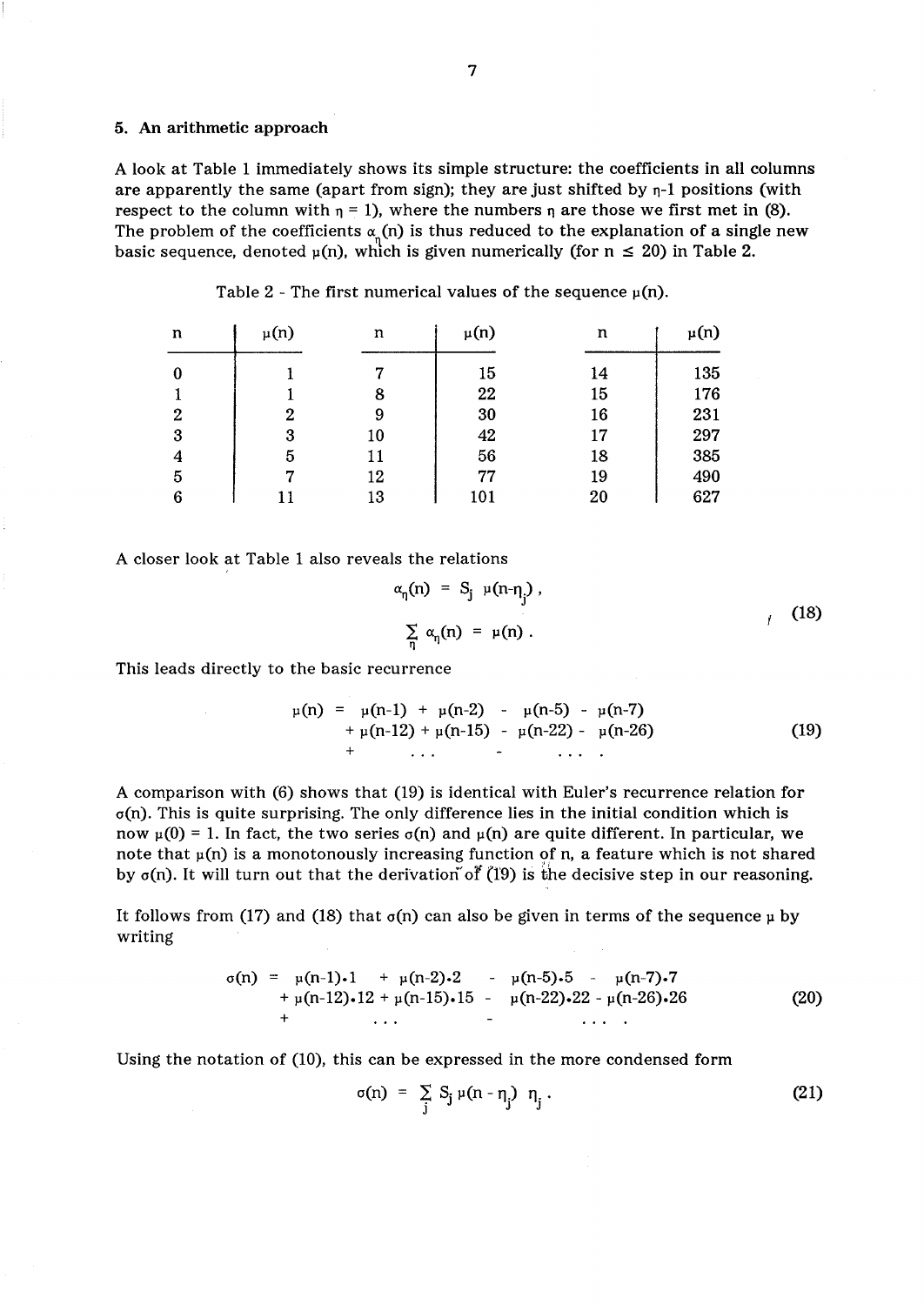# 5. An arithmetic approach

A look at Table 1 immediately shows its simple structure: the coefficients in all columns are apparently the same (apart from sign); they are just shifted by  $\eta$ -1 positions (with respect to the column with  $\eta = 1$ ), where the numbers  $\eta$  are those we first met in (8). The problem of the coefficients  $\alpha(x)$  is thus reduced to the explanation of a single new basic sequence, denoted  $\mu(n)$ , which is given numerically (for  $n \leq 20$ ) in Table 2.

| n              | $\mu(n)$ | n  | $\mu(n)$ | n  | $\mu(n)$ |
|----------------|----------|----|----------|----|----------|
| 0              |          |    | 15       | 14 | 135      |
|                |          | 8  | 22       | 15 | 176      |
| $\overline{2}$ | 2        | 9  | 30       | 16 | 231      |
| 3              | 3        | 10 | 42       | 17 | 297      |
| 4              | 5        | 11 | 56       | 18 | 385      |
| 5              |          | 12 | 77       | 19 | 490      |
| 6              |          | 13 | 101      | 20 | 627      |

Table 2 - The first numerical values of the sequence  $\mu(n)$ .

A closer look at Table 1 also reveals the relations

$$
\alpha_{\eta}(n) = S_j \mu(n-\eta_j),
$$
\n
$$
\sum_{\eta} \alpha_{\eta}(n) = \mu(n).
$$
\n(18)

This leads directly to the basic recurrence

$$
\mu(n) = \mu(n-1) + \mu(n-2) - \mu(n-5) - \mu(n-7) + \mu(n-12) + \mu(n-15) - \mu(n-22) - \mu(n-26) + \cdots
$$
 (19)

A comparison with (6) shows that (19) is identical with Euler's recurrence relation for  $\sigma(n)$ . This is quite surprising. The only difference lies in the initial condition which is now  $\mu(0) = 1$ . In fact, the two series  $\sigma(n)$  and  $\mu(n)$  are quite different. In particular, we note that  $\mu(n)$  is a monotonously increasing function of n, a feature which is not shared by  $\sigma(n)$ . It will turn out that the derivation of (19) is the decisive step in our reasoning.

It follows from (17) and (18) that  $\sigma(n)$  can also be given in terms of the sequence  $\mu$  by writing

$$
\sigma(n) = \mu(n-1) \cdot 1 + \mu(n-2) \cdot 2 - \mu(n-5) \cdot 5 - \mu(n-7) \cdot 7 + \mu(n-12) \cdot 12 + \mu(n-15) \cdot 15 - \mu(n-22) \cdot 22 - \mu(n-26) \cdot 26 + \cdots
$$
 (20)

Using the notation of (10), this can be expressed in the more condensed form

$$
\sigma(n) = \sum_{j} S_j \mu(n - \eta_j) \eta_j.
$$
 (21)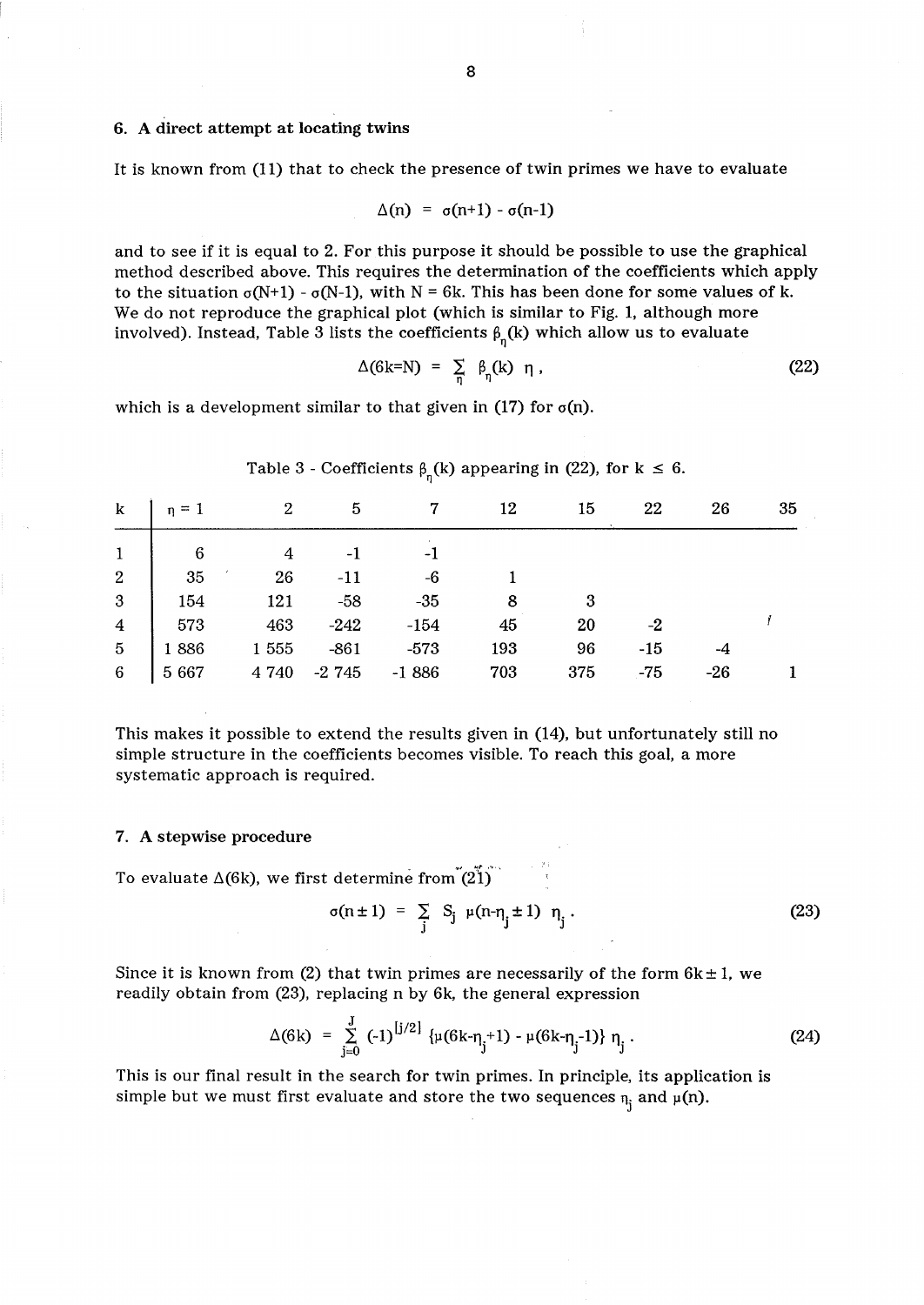# 6. A direct attempt at locating twins

It is known from (11) that to check the presence of twin primes we have to evaluate

$$
\Delta(n) = \sigma(n+1) - \sigma(n-1)
$$

and to see if it is equal to 2. For this purpose it should be possible to use the graphical method described above. This requires the determination of the coefficients which apply to the situation  $\sigma(N+1)$  -  $\sigma(N-1)$ , with N = 6k. This has been done for some values of k. We do not reproduce the graphical plot (which is similar to Fig. 1, although more involved). Instead, Table 3 lists the coefficients  $\beta_{\eta}(\mathbf{k})$  which allow us to evaluate

$$
\Delta(6k=N) = \sum_{\eta} \beta_{\eta}(k) \eta, \qquad (22)
$$

which is a development similar to that given in (17) for  $\sigma(n)$ .

| k   $n = 1$ |                                                                                                                                                                                                                                |       | 2 5 7 12  |                            | 15  | 22    | 26    | 35 |
|-------------|--------------------------------------------------------------------------------------------------------------------------------------------------------------------------------------------------------------------------------|-------|-----------|----------------------------|-----|-------|-------|----|
|             | $\begin{array}{c ccccc} 1 & & 6 & & 4 & -1 \\ 2 & & 35 & & 26 & -11 \\ 3 & & 154 & & 121 & -58 \\ 4 & & 573 & & 463 & -242 \\ 5 & & 1886 & & 1\ 555 & -861 \\ 6 & & 5\ 667 & & 4\ 740 & -2\ 745 \end{array}$<br>$\overline{4}$ |       | $\sim$ -1 |                            |     |       |       |    |
|             |                                                                                                                                                                                                                                | $-11$ | $-6$      |                            |     |       |       |    |
|             |                                                                                                                                                                                                                                |       | $-35$     | $\overline{\phantom{0}}$ 8 |     |       |       |    |
|             |                                                                                                                                                                                                                                |       | $-154$    | 45                         | 20  | $-2$  |       |    |
|             |                                                                                                                                                                                                                                |       | $-573$    | 193                        | 96  | $-15$ |       |    |
|             |                                                                                                                                                                                                                                |       | $-1886$   | 703                        | 375 | $-75$ | $-26$ |    |

Table 3 - Coefficients  $\beta_{\eta}(k)$  appearing in (22), for k  $\leq 6$ .

This makes it possible to extend the results given in (14), but unfortunately still no simple structure in the coefficients becomes visible. To reach this goal, a more systematic approach is required.

### 7. A stepwise procedure

To evaluate  $\Delta(6k)$ , we first determine from  $(21)^{11}$ 

$$
\sigma(n \pm 1) = \sum_{j} S_j \mu(n - \eta_j \pm 1) \eta_j.
$$
 (23)

Since it is known from (2) that twin primes are necessarily of the form  $6k \pm 1$ , we readily obtain from (23), replacing n by 6k, the general expression

$$
\Delta(6k) = \sum_{j=0}^{J} (-1)^{[j/2]} \{ \mu(6k - \eta_j + 1) - \mu(6k - \eta_j - 1) \} \eta_j.
$$
 (24)

This is our final result in the search for twin primes. In principle, its application is simple but we must first evaluate and store the two sequences  $\eta_i$  and  $\mu(n)$ .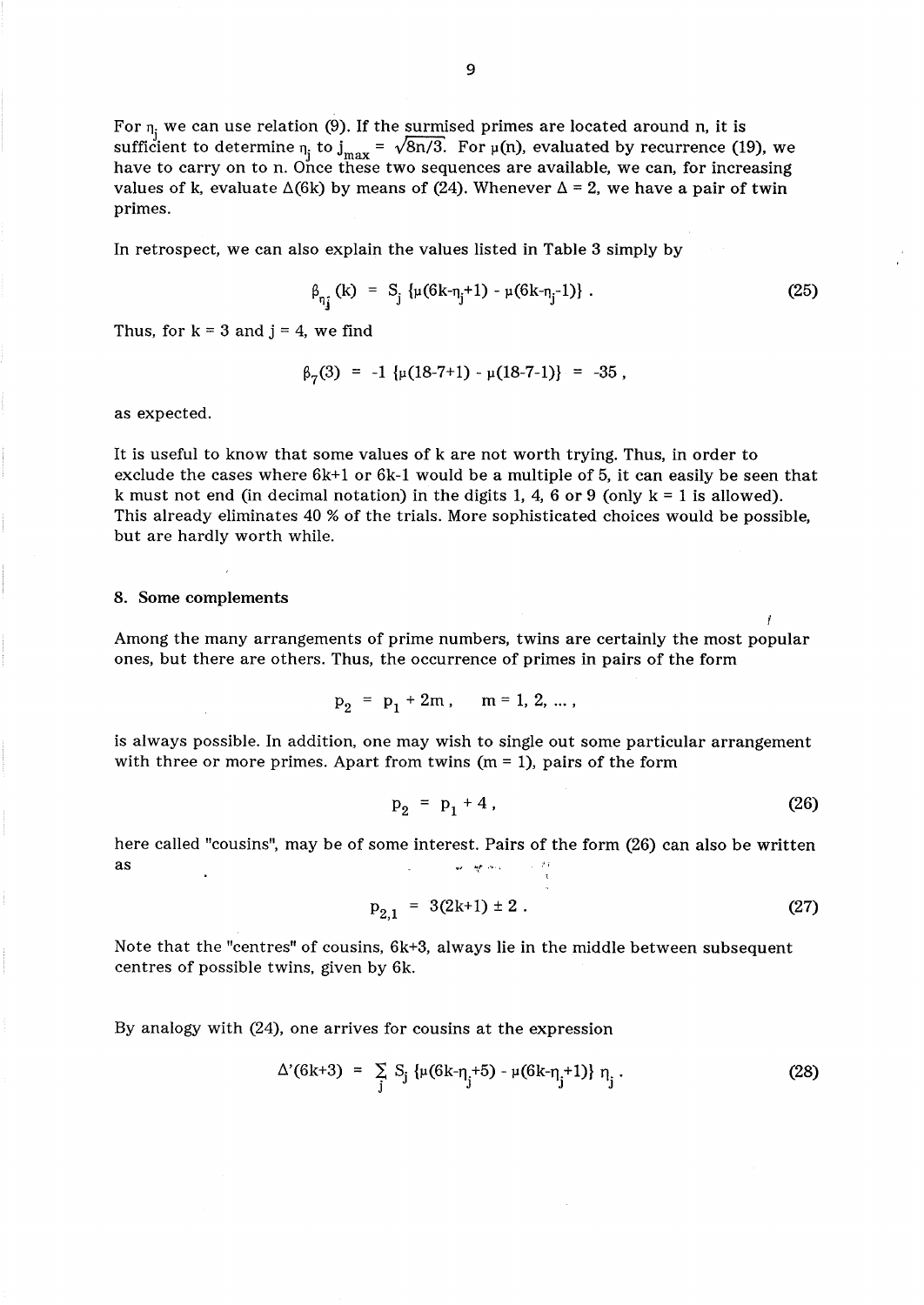For  $n_i$  we can use relation (9). If the surmised primes are located around n, it is sufficient to determine  $_{\eta}$  to  $_{\text{max}} = \sqrt{8n/3}$ . For  $\mu(n)$ , evaluated by recurrence (19), we have to carry on to n. Once these two sequences are available, we can, for increasing values of k, evaluate  $\Delta(6k)$  by means of (24). Whenever  $\Delta = 2$ , we have a pair of twin primes.

In retrospect, we can also explain the values listed in Table 3 simply by

$$
\beta_{\eta_{\mathbf{j}}}(\mathbf{k}) = \mathbf{S}_{\mathbf{j}} \left\{ \mu(6\mathbf{k} - \eta_{\mathbf{j}} + 1) - \mu(6\mathbf{k} - \eta_{\mathbf{j}} - 1) \right\} \,. \tag{25}
$$

Thus, for  $k = 3$  and  $j = 4$ , we find

$$
\beta_7(3) = -1 \{\mu(18-7+1) - \mu(18-7-1)\} = -35
$$
,

as expected.

It is useful to know that some values of k are not worth trying. Thus, in order to exclude the cases where  $6k+1$  or  $6k-1$  would be a multiple of 5, it can easily be seen that k must not end (in decimal notation) in the digits 1, 4, 6 or 9 (only  $k = 1$  is allowed). This already eliminates 40 % of the trials. More sophisticated choices would be possible, but are hardly worth while.

### 8. Some complements

Among the many arrangements of prime numbers, twins are certainly the most popular ones, but there are others. Thus, the occurrence of primes in pairs of the form

$$
p_2 = p_1 + 2m, \quad m = 1, 2, ...
$$

is always possible. In addition, one may wish to single out some particular arrangement with three or more primes. Apart from twins  $(m = 1)$ , pairs of the form

$$
p_2 = p_1 + 4 \tag{26}
$$

here called "cousins", may be of some interest. Pairs of the form (26) can also be written  $\quad \text{as} \quad$ 

$$
p_{2,1} = 3(2k+1) \pm 2. \tag{27}
$$

Note that the "centres" of cousins,  $6k+3$ , always lie in the middle between subsequent centres of possible twins, given by 6k.

By analogy with (24), one arrives for cousins at the expression

$$
\Delta'(6k+3) = \sum_{j} S_j \{ \mu(6k-\eta_j+5) - \mu(6k-\eta_j+1) \} \eta_j.
$$
 (28)